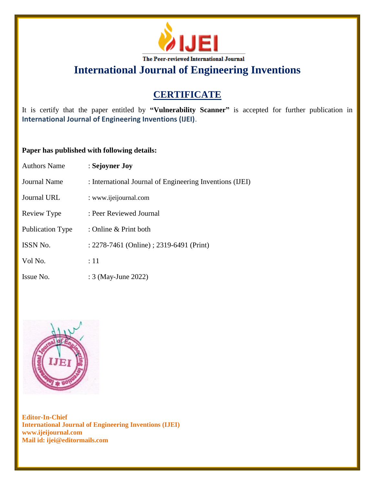

**International Journal of Engineering Inventions**

# **CERTIFICATE**

It is certify that the paper entitled by **"Vulnerability Scanner"** is accepted for further publication in **International Journal of Engineering Inventions (IJEI)**.

## **Paper has published with following details:**

| <b>Authors Name</b> | : Sejoyner Joy                                           |
|---------------------|----------------------------------------------------------|
| <b>Journal Name</b> | : International Journal of Engineering Inventions (IJEI) |
| Journal URL         | : www.ijeijournal.com                                    |
| Review Type         | : Peer Reviewed Journal                                  |
| Publication Type    | : Online & Print both                                    |
| ISSN No.            | : 2278-7461 (Online) ; 2319-6491 (Print)                 |
| Vol No.             | :11                                                      |
| Issue No.           | : 3 (May-June 2022)                                      |



**Editor-In-Chief International Journal of Engineering Inventions (IJEI) www.ijeijournal.com Mail id: ijei@editormails.com**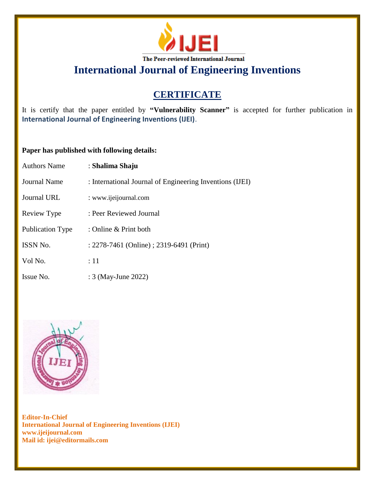

**International Journal of Engineering Inventions**

# **CERTIFICATE**

It is certify that the paper entitled by **"Vulnerability Scanner"** is accepted for further publication in **International Journal of Engineering Inventions (IJEI)**.

## **Paper has published with following details:**

| <b>Authors Name</b>     | : Shalima Shaju                                          |
|-------------------------|----------------------------------------------------------|
| <b>Journal Name</b>     | : International Journal of Engineering Inventions (IJEI) |
| Journal URL             | : www.ijeijournal.com                                    |
| Review Type             | : Peer Reviewed Journal                                  |
| <b>Publication Type</b> | : Online & Print both                                    |
| <b>ISSN No.</b>         | : 2278-7461 (Online) ; 2319-6491 (Print)                 |
| Vol No.                 | :11                                                      |
| Issue No.               | : 3 (May-June 2022)                                      |



**Editor-In-Chief International Journal of Engineering Inventions (IJEI) www.ijeijournal.com Mail id: ijei@editormails.com**